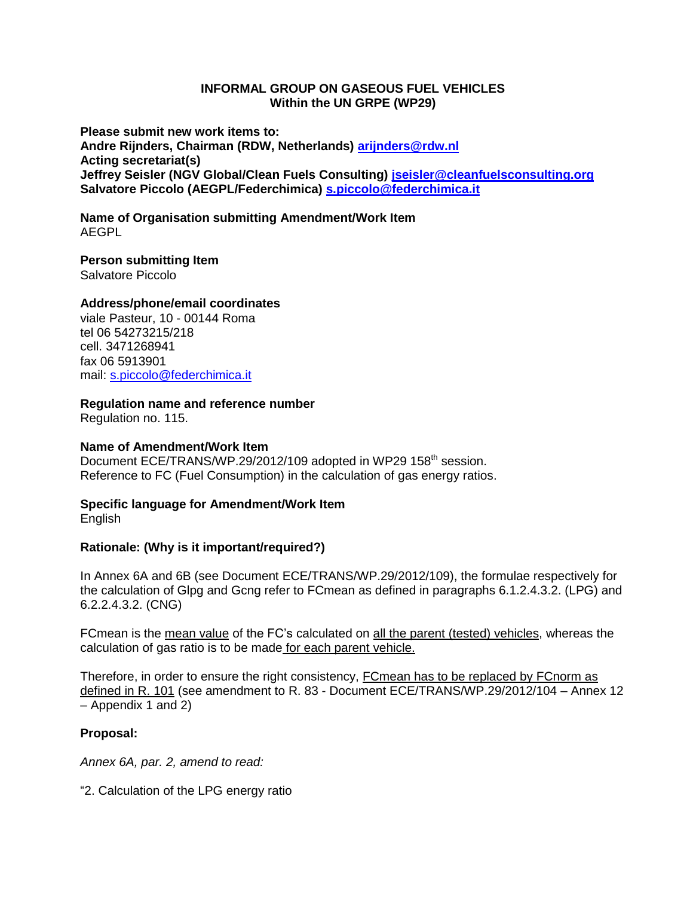### **INFORMAL GROUP ON GASEOUS FUEL VEHICLES Within the UN GRPE (WP29)**

**Please submit new work items to: Andre Rijnders, Chairman (RDW, Netherlands) [arijnders@rdw.nl](mailto:arijnders@rdw.nl) Acting secretariat(s) Jeffrey Seisler (NGV Global/Clean Fuels Consulting) [jseisler@cleanfuelsconsulting.org](mailto:jseisler@cleanfuelsconsulting.org) Salvatore Piccolo (AEGPL/Federchimica) [s.piccolo@federchimica.it](mailto:s.piccolo@federchimica.it)**

**Name of Organisation submitting Amendment/Work Item** AEGPL

# **Person submitting Item**

Salvatore Piccolo

# **Address/phone/email coordinates**

viale Pasteur, 10 - 00144 Roma tel 06 54273215/218 cell. 3471268941 fax 06 5913901 mail: [s.piccolo@federchimica.it](mailto:s.piccolo@federchimica.it)

### **Regulation name and reference number**

Regulation no. 115.

#### **Name of Amendment/Work Item**

Document ECE/TRANS/WP.29/2012/109 adopted in WP29 158<sup>th</sup> session. Reference to FC (Fuel Consumption) in the calculation of gas energy ratios.

### **Specific language for Amendment/Work Item** English

# **Rationale: (Why is it important/required?)**

In Annex 6A and 6B (see Document ECE/TRANS/WP.29/2012/109), the formulae respectively for the calculation of Glpg and Gcng refer to FCmean as defined in paragraphs 6.1.2.4.3.2. (LPG) and 6.2.2.4.3.2. (CNG)

FCmean is the mean value of the FC's calculated on all the parent (tested) vehicles, whereas the calculation of gas ratio is to be made for each parent vehicle.

Therefore, in order to ensure the right consistency, FCmean has to be replaced by FCnorm as defined in R. 101 (see amendment to R. 83 - Document ECE/TRANS/WP.29/2012/104 – Annex 12 – Appendix 1 and 2)

# **Proposal:**

*Annex 6A, par. 2, amend to read:*

"2. Calculation of the LPG energy ratio